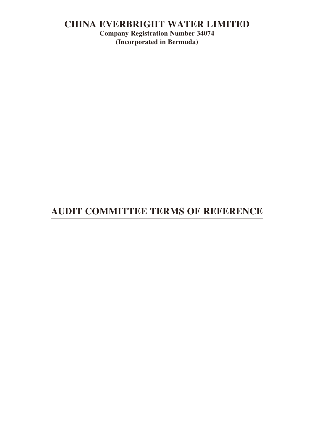# **CHINA EVERBRIGHT WATER LIMITED**

**Company Registration Number 34074 (Incorporated in Bermuda)**

# **AUDIT COMMITTEE TERMS OF REFERENCE**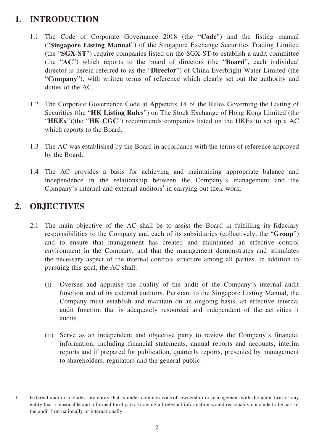# **1. INTRODUCTION**

- 1.1 The Code of Corporate Governance 2018 (the "**Code**") and the listing manual ("**Singapore Listing Manual**") of the Singapore Exchange Securities Trading Limited (the "**SGX-ST**") require companies listed on the SGX-ST to establish a audit committee (the "**AC**") which reports to the board of directors (the "**Board**", each individual director is herein referred to as the "**Director**") of China Everbright Water Limited (the "**Company**"), with written terms of reference which clearly set out the authority and duties of the AC.
- 1.2 The Corporate Governance Code at Appendix 14 of the Rules Governing the Listing of Securities (the "**HK Listing Rules**") on The Stock Exchange of Hong Kong Limited (the "**HKEx**")(the "**HK CGC**") recommends companies listed on the HKEx to set up a AC which reports to the Board.
- 1.3 The AC was established by the Board in accordance with the terms of reference approved by the Board.
- 1.4 The AC provides a basis for achieving and maintaining appropriate balance and independence in the relationship between the Company's management and the Company's internal and external auditors<sup>1</sup> in carrying out their work.

# **2. OBJECTIVES**

- 2.1 The main objective of the AC shall be to assist the Board in fulfilling its fiduciary responsibilities to the Company and each of its subsidiaries (collectively, the "**Group**") and to ensure that management has created and maintained an effective control environment in the Company, and that the management demonstrates and stimulates the necessary aspect of the internal controls structure among all parties. In addition to pursuing this goal, the AC shall:
	- (i) Oversee and appraise the quality of the audit of the Company's internal audit function and of its external auditors. Pursuant to the Singapore Listing Manual, the Company must establish and maintain on an ongoing basis, an effective internal audit function that is adequately resourced and independent of the activities it audits.
	- (ii) Serve as an independent and objective party to review the Company's financial information, including financial statements, annual reports and accounts, interim reports and if prepared for publication, quarterly reports, presented by management to shareholders, regulators and the general public.

<sup>1</sup> External auditor includes any entity that is under common control, ownership or management with the audit firm or any entity that a reasonable and informed third party knowing all relevant information would reasonably conclude to be part of the audit firm nationally or internationally.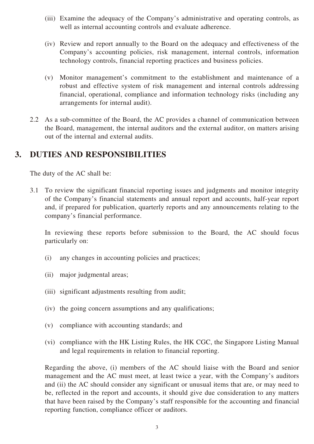- (iii) Examine the adequacy of the Company's administrative and operating controls, as well as internal accounting controls and evaluate adherence.
- (iv) Review and report annually to the Board on the adequacy and effectiveness of the Company's accounting policies, risk management, internal controls, information technology controls, financial reporting practices and business policies.
- (v) Monitor management's commitment to the establishment and maintenance of a robust and effective system of risk management and internal controls addressing financial, operational, compliance and information technology risks (including any arrangements for internal audit).
- 2.2 As a sub-committee of the Board, the AC provides a channel of communication between the Board, management, the internal auditors and the external auditor, on matters arising out of the internal and external audits.

# **3. DUTIES AND RESPONSIBILITIES**

The duty of the AC shall be:

3.1 To review the significant financial reporting issues and judgments and monitor integrity of the Company's financial statements and annual report and accounts, half-year report and, if prepared for publication, quarterly reports and any announcements relating to the company's financial performance.

In reviewing these reports before submission to the Board, the AC should focus particularly on:

- (i) any changes in accounting policies and practices;
- (ii) major judgmental areas;
- (iii) significant adjustments resulting from audit;
- (iv) the going concern assumptions and any qualifications;
- (v) compliance with accounting standards; and
- (vi) compliance with the HK Listing Rules, the HK CGC, the Singapore Listing Manual and legal requirements in relation to financial reporting.

Regarding the above, (i) members of the AC should liaise with the Board and senior management and the AC must meet, at least twice a year, with the Company's auditors and (ii) the AC should consider any significant or unusual items that are, or may need to be, reflected in the report and accounts, it should give due consideration to any matters that have been raised by the Company's staff responsible for the accounting and financial reporting function, compliance officer or auditors.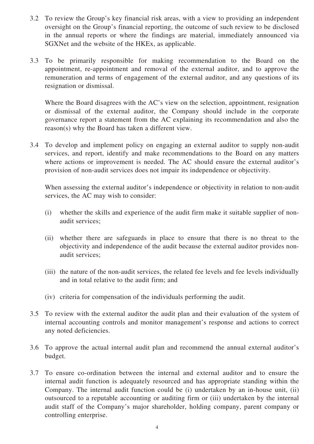- 3.2 To review the Group's key financial risk areas, with a view to providing an independent oversight on the Group's financial reporting, the outcome of such review to be disclosed in the annual reports or where the findings are material, immediately announced via SGXNet and the website of the HKEx, as applicable.
- 3.3 To be primarily responsible for making recommendation to the Board on the appointment, re-appointment and removal of the external auditor, and to approve the remuneration and terms of engagement of the external auditor, and any questions of its resignation or dismissal.

Where the Board disagrees with the AC's view on the selection, appointment, resignation or dismissal of the external auditor, the Company should include in the corporate governance report a statement from the AC explaining its recommendation and also the reason(s) why the Board has taken a different view.

3.4 To develop and implement policy on engaging an external auditor to supply non-audit services, and report, identify and make recommendations to the Board on any matters where actions or improvement is needed. The AC should ensure the external auditor's provision of non-audit services does not impair its independence or objectivity.

When assessing the external auditor's independence or objectivity in relation to non-audit services, the AC may wish to consider:

- (i) whether the skills and experience of the audit firm make it suitable supplier of nonaudit services;
- (ii) whether there are safeguards in place to ensure that there is no threat to the objectivity and independence of the audit because the external auditor provides nonaudit services;
- (iii) the nature of the non-audit services, the related fee levels and fee levels individually and in total relative to the audit firm; and
- (iv) criteria for compensation of the individuals performing the audit.
- 3.5 To review with the external auditor the audit plan and their evaluation of the system of internal accounting controls and monitor management's response and actions to correct any noted deficiencies.
- 3.6 To approve the actual internal audit plan and recommend the annual external auditor's budget.
- 3.7 To ensure co-ordination between the internal and external auditor and to ensure the internal audit function is adequately resourced and has appropriate standing within the Company. The internal audit function could be (i) undertaken by an in-house unit, (ii) outsourced to a reputable accounting or auditing firm or (iii) undertaken by the internal audit staff of the Company's major shareholder, holding company, parent company or controlling enterprise.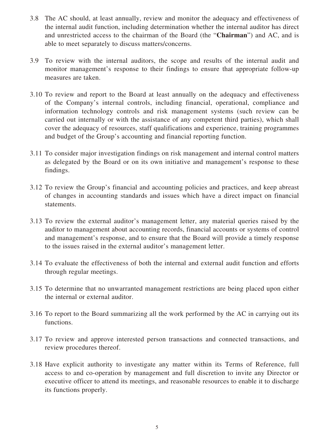- 3.8 The AC should, at least annually, review and monitor the adequacy and effectiveness of the internal audit function, including determination whether the internal auditor has direct and unrestricted access to the chairman of the Board (the "**Chairman**") and AC, and is able to meet separately to discuss matters/concerns.
- 3.9 To review with the internal auditors, the scope and results of the internal audit and monitor management's response to their findings to ensure that appropriate follow-up measures are taken.
- 3.10 To review and report to the Board at least annually on the adequacy and effectiveness of the Company's internal controls, including financial, operational, compliance and information technology controls and risk management systems (such review can be carried out internally or with the assistance of any competent third parties), which shall cover the adequacy of resources, staff qualifications and experience, training programmes and budget of the Group's accounting and financial reporting function.
- 3.11 To consider major investigation findings on risk management and internal control matters as delegated by the Board or on its own initiative and management's response to these findings.
- 3.12 To review the Group's financial and accounting policies and practices, and keep abreast of changes in accounting standards and issues which have a direct impact on financial statements.
- 3.13 To review the external auditor's management letter, any material queries raised by the auditor to management about accounting records, financial accounts or systems of control and management's response, and to ensure that the Board will provide a timely response to the issues raised in the external auditor's management letter.
- 3.14 To evaluate the effectiveness of both the internal and external audit function and efforts through regular meetings.
- 3.15 To determine that no unwarranted management restrictions are being placed upon either the internal or external auditor.
- 3.16 To report to the Board summarizing all the work performed by the AC in carrying out its functions.
- 3.17 To review and approve interested person transactions and connected transactions, and review procedures thereof.
- 3.18 Have explicit authority to investigate any matter within its Terms of Reference, full access to and co-operation by management and full discretion to invite any Director or executive officer to attend its meetings, and reasonable resources to enable it to discharge its functions properly.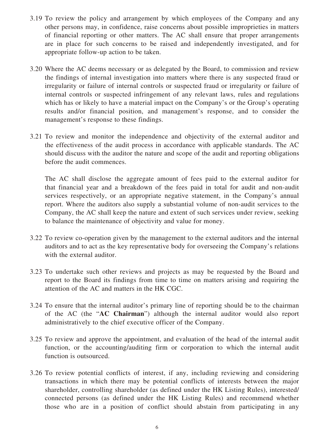- 3.19 To review the policy and arrangement by which employees of the Company and any other persons may, in confidence, raise concerns about possible improprieties in matters of financial reporting or other matters. The AC shall ensure that proper arrangements are in place for such concerns to be raised and independently investigated, and for appropriate follow-up action to be taken.
- 3.20 Where the AC deems necessary or as delegated by the Board, to commission and review the findings of internal investigation into matters where there is any suspected fraud or irregularity or failure of internal controls or suspected fraud or irregularity or failure of internal controls or suspected infringement of any relevant laws, rules and regulations which has or likely to have a material impact on the Company's or the Group's operating results and/or financial position, and management's response, and to consider the management's response to these findings.
- 3.21 To review and monitor the independence and objectivity of the external auditor and the effectiveness of the audit process in accordance with applicable standards. The AC should discuss with the auditor the nature and scope of the audit and reporting obligations before the audit commences.

The AC shall disclose the aggregate amount of fees paid to the external auditor for that financial year and a breakdown of the fees paid in total for audit and non-audit services respectively, or an appropriate negative statement, in the Company's annual report. Where the auditors also supply a substantial volume of non-audit services to the Company, the AC shall keep the nature and extent of such services under review, seeking to balance the maintenance of objectivity and value for money.

- 3.22 To review co-operation given by the management to the external auditors and the internal auditors and to act as the key representative body for overseeing the Company's relations with the external auditor.
- 3.23 To undertake such other reviews and projects as may be requested by the Board and report to the Board its findings from time to time on matters arising and requiring the attention of the AC and matters in the HK CGC.
- 3.24 To ensure that the internal auditor's primary line of reporting should be to the chairman of the AC (the "**AC Chairman**") although the internal auditor would also report administratively to the chief executive officer of the Company.
- 3.25 To review and approve the appointment, and evaluation of the head of the internal audit function, or the accounting/auditing firm or corporation to which the internal audit function is outsourced.
- 3.26 To review potential conflicts of interest, if any, including reviewing and considering transactions in which there may be potential conflicts of interests between the major shareholder, controlling shareholder (as defined under the HK Listing Rules), interested/ connected persons (as defined under the HK Listing Rules) and recommend whether those who are in a position of conflict should abstain from participating in any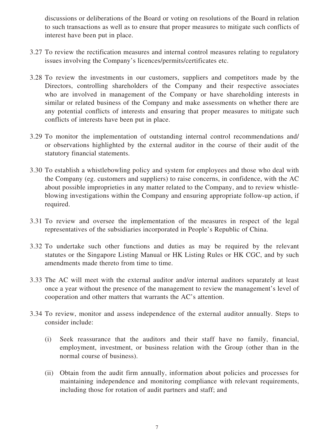discussions or deliberations of the Board or voting on resolutions of the Board in relation to such transactions as well as to ensure that proper measures to mitigate such conflicts of interest have been put in place.

- 3.27 To review the rectification measures and internal control measures relating to regulatory issues involving the Company's licences/permits/certificates etc.
- 3.28 To review the investments in our customers, suppliers and competitors made by the Directors, controlling shareholders of the Company and their respective associates who are involved in management of the Company or have shareholding interests in similar or related business of the Company and make assessments on whether there are any potential conflicts of interests and ensuring that proper measures to mitigate such conflicts of interests have been put in place.
- 3.29 To monitor the implementation of outstanding internal control recommendations and/ or observations highlighted by the external auditor in the course of their audit of the statutory financial statements.
- 3.30 To establish a whistlebowling policy and system for employees and those who deal with the Company (eg. customers and suppliers) to raise concerns, in confidence, with the AC about possible improprieties in any matter related to the Company, and to review whistleblowing investigations within the Company and ensuring appropriate follow-up action, if required.
- 3.31 To review and oversee the implementation of the measures in respect of the legal representatives of the subsidiaries incorporated in People's Republic of China.
- 3.32 To undertake such other functions and duties as may be required by the relevant statutes or the Singapore Listing Manual or HK Listing Rules or HK CGC, and by such amendments made thereto from time to time.
- 3.33 The AC will meet with the external auditor and/or internal auditors separately at least once a year without the presence of the management to review the management's level of cooperation and other matters that warrants the AC's attention.
- 3.34 To review, monitor and assess independence of the external auditor annually. Steps to consider include:
	- (i) Seek reassurance that the auditors and their staff have no family, financial, employment, investment, or business relation with the Group (other than in the normal course of business).
	- (ii) Obtain from the audit firm annually, information about policies and processes for maintaining independence and monitoring compliance with relevant requirements, including those for rotation of audit partners and staff; and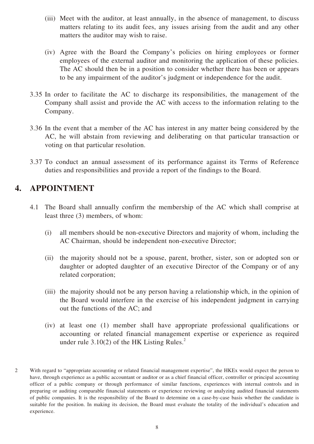- (iii) Meet with the auditor, at least annually, in the absence of management, to discuss matters relating to its audit fees, any issues arising from the audit and any other matters the auditor may wish to raise.
- (iv) Agree with the Board the Company's policies on hiring employees or former employees of the external auditor and monitoring the application of these policies. The AC should then be in a position to consider whether there has been or appears to be any impairment of the auditor's judgment or independence for the audit.
- 3.35 In order to facilitate the AC to discharge its responsibilities, the management of the Company shall assist and provide the AC with access to the information relating to the Company.
- 3.36 In the event that a member of the AC has interest in any matter being considered by the AC, he will abstain from reviewing and deliberating on that particular transaction or voting on that particular resolution.
- 3.37 To conduct an annual assessment of its performance against its Terms of Reference duties and responsibilities and provide a report of the findings to the Board.

# **4. APPOINTMENT**

- 4.1 The Board shall annually confirm the membership of the AC which shall comprise at least three (3) members, of whom:
	- (i) all members should be non-executive Directors and majority of whom, including the AC Chairman, should be independent non-executive Director;
	- (ii) the majority should not be a spouse, parent, brother, sister, son or adopted son or daughter or adopted daughter of an executive Director of the Company or of any related corporation;
	- (iii) the majority should not be any person having a relationship which, in the opinion of the Board would interfere in the exercise of his independent judgment in carrying out the functions of the AC; and
	- (iv) at least one (1) member shall have appropriate professional qualifications or accounting or related financial management expertise or experience as required under rule  $3.10(2)$  of the HK Listing Rules.<sup>2</sup>
- 2 With regard to "appropriate accounting or related financial management expertise", the HKEx would expect the person to have, through experience as a public accountant or auditor or as a chief financial officer, controller or principal accounting officer of a public company or through performance of similar functions, experiences with internal controls and in preparing or auditing comparable financial statements or experience reviewing or analyzing audited financial statements of public companies. It is the responsibility of the Board to determine on a case-by-case basis whether the candidate is suitable for the position. In making its decision, the Board must evaluate the totality of the individual's education and experience.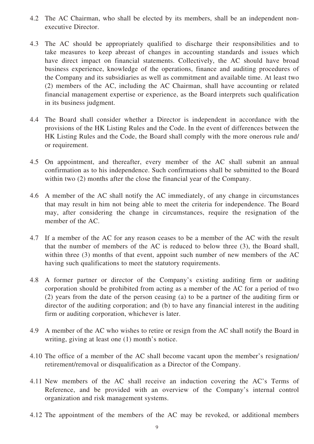- 4.2 The AC Chairman, who shall be elected by its members, shall be an independent nonexecutive Director.
- 4.3 The AC should be appropriately qualified to discharge their responsibilities and to take measures to keep abreast of changes in accounting standards and issues which have direct impact on financial statements. Collectively, the AC should have broad business experience, knowledge of the operations, finance and auditing procedures of the Company and its subsidiaries as well as commitment and available time. At least two (2) members of the AC, including the AC Chairman, shall have accounting or related financial management expertise or experience, as the Board interprets such qualification in its business judgment.
- 4.4 The Board shall consider whether a Director is independent in accordance with the provisions of the HK Listing Rules and the Code. In the event of differences between the HK Listing Rules and the Code, the Board shall comply with the more onerous rule and/ or requirement.
- 4.5 On appointment, and thereafter, every member of the AC shall submit an annual confirmation as to his independence. Such confirmations shall be submitted to the Board within two (2) months after the close the financial year of the Company.
- 4.6 A member of the AC shall notify the AC immediately, of any change in circumstances that may result in him not being able to meet the criteria for independence. The Board may, after considering the change in circumstances, require the resignation of the member of the AC.
- 4.7 If a member of the AC for any reason ceases to be a member of the AC with the result that the number of members of the AC is reduced to below three (3), the Board shall, within three (3) months of that event, appoint such number of new members of the AC having such qualifications to meet the statutory requirements.
- 4.8 A former partner or director of the Company's existing auditing firm or auditing corporation should be prohibited from acting as a member of the AC for a period of two (2) years from the date of the person ceasing (a) to be a partner of the auditing firm or director of the auditing corporation; and (b) to have any financial interest in the auditing firm or auditing corporation, whichever is later.
- 4.9 A member of the AC who wishes to retire or resign from the AC shall notify the Board in writing, giving at least one (1) month's notice.
- 4.10 The office of a member of the AC shall become vacant upon the member's resignation/ retirement/removal or disqualification as a Director of the Company.
- 4.11 New members of the AC shall receive an induction covering the AC's Terms of Reference, and be provided with an overview of the Company's internal control organization and risk management systems.
- 4.12 The appointment of the members of the AC may be revoked, or additional members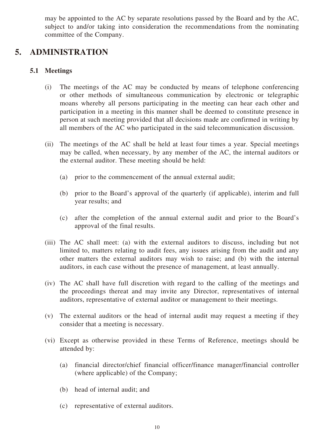may be appointed to the AC by separate resolutions passed by the Board and by the AC, subject to and/or taking into consideration the recommendations from the nominating committee of the Company.

### **5. ADMINISTRATION**

#### **5.1 Meetings**

- (i) The meetings of the AC may be conducted by means of telephone conferencing or other methods of simultaneous communication by electronic or telegraphic moans whereby all persons participating in the meeting can hear each other and participation in a meeting in this manner shall be deemed to constitute presence in person at such meeting provided that all decisions made are confirmed in writing by all members of the AC who participated in the said telecommunication discussion.
- (ii) The meetings of the AC shall be held at least four times a year. Special meetings may be called, when necessary, by any member of the AC, the internal auditors or the external auditor. These meeting should be held:
	- (a) prior to the commencement of the annual external audit;
	- (b) prior to the Board's approval of the quarterly (if applicable), interim and full year results; and
	- (c) after the completion of the annual external audit and prior to the Board's approval of the final results.
- (iii) The AC shall meet: (a) with the external auditors to discuss, including but not limited to, matters relating to audit fees, any issues arising from the audit and any other matters the external auditors may wish to raise; and (b) with the internal auditors, in each case without the presence of management, at least annually.
- (iv) The AC shall have full discretion with regard to the calling of the meetings and the proceedings thereat and may invite any Director, representatives of internal auditors, representative of external auditor or management to their meetings.
- (v) The external auditors or the head of internal audit may request a meeting if they consider that a meeting is necessary.
- (vi) Except as otherwise provided in these Terms of Reference, meetings should be attended by:
	- (a) financial director/chief financial officer/finance manager/financial controller (where applicable) of the Company;
	- (b) head of internal audit; and
	- (c) representative of external auditors.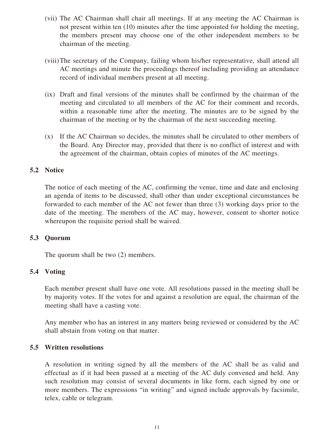- (vii) The AC Chairman shall chair all meetings. If at any meeting the AC Chairman is not present within ten (10) minutes after the time appointed for holding the meeting, the members present may choose one of the other independent members to be chairman of the meeting.
- (viii)The secretary of the Company, failing whom his/her representative, shall attend all AC meetings and minute the proceedings thereof including providing an attendance record of individual members present at all meeting.
- (ix) Draft and final versions of the minutes shall be confirmed by the chairman of the meeting and circulated to all members of the AC for their comment and records, within a reasonable time after the meeting. The minutes are to be signed by the chairman of the meeting or by the chairman of the next succeeding meeting.
- (x) If the AC Chairman so decides, the minutes shall be circulated to other members of the Board. Any Director may, provided that there is no conflict of interest and with the agreement of the chairman, obtain copies of minutes of the AC meetings.

#### **5.2 Notice**

The notice of each meeting of the AC, confirming the venue, time and date and enclosing an agenda of items to be discussed, shall other than under exceptional circumstances be forwarded to each member of the AC not fewer than three (3) working days prior to the date of the meeting. The members of the AC may, however, consent to shorter notice whereupon the requisite period shall be waived.

#### **5.3 Quorum**

The quorum shall be two (2) members.

#### **5.4 Voting**

Each member present shall have one vote. All resolutions passed in the meeting shall be by majority votes. If the votes for and against a resolution are equal, the chairman of the meeting shall have a casting vote.

Any member who has an interest in any matters being reviewed or considered by the AC shall abstain from voting on that matter.

#### **5.5 Written resolutions**

A resolution in writing signed by all the members of the AC shall be as valid and effectual as if it had been passed at a meeting of the AC duly convened and held. Any such resolution may consist of several documents in like form, each signed by one or more members. The expressions "in writing" and signed include approvals by facsimile, telex, cable or telegram.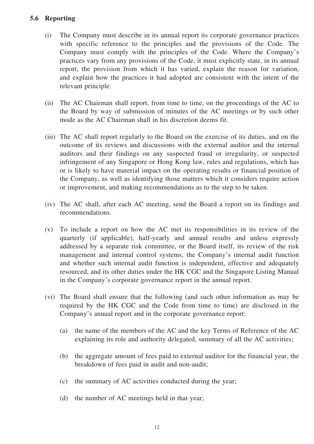#### **5.6 Reporting**

- (i) The Company must describe in its annual report its corporate governance practices with specific reference to the principles and the provisions of the Code. The Company must comply with the principles of the Code. Where the Company's practices vary from any provisions of the Code, it must explicitly state, in its annual report, the provision from which it has varied, explain the reason for variation, and explain how the practices it had adopted are consistent with the intent of the relevant principle.
- (ii) The AC Chairman shall report, from time to time, on the proceedings of the AC to the Board by way of submission of minutes of the AC meetings or by such other mode as the AC Chairman shall in his discretion deems fit.
- (iii) The AC shall report regularly to the Board on the exercise of its duties, and on the outcome of its reviews and discussions with the external auditor and the internal auditors and their findings on any suspected fraud or irregularity, or suspected infringement of any Singapore or Hong Kong law, rules and regulations, which has or is likely to have material impact on the operating results or financial position of the Company, as well as identifying those matters which it considers require action or improvement, and making recommendations as to the step to be taken.
- (iv) The AC shall, after each AC meeting, send the Board a report on its findings and recommendations.
- (v) To include a report on how the AC met its responsibilities in its review of the quarterly (if applicable), half-yearly and annual results and unless expressly addressed by a separate risk committee, or the Board itself, its review of the risk management and internal control systems, the Company's internal audit function and whether such internal audit function is independent, effective and adequately resourced, and its other duties under the HK CGC and the Singapore Listing Manual in the Company's corporate governance report in the annual report.
- (vi) The Board shall ensure that the following (and such other information as may be required by the HK CGC and the Code from time to time) are disclosed in the Company's annual report and in the corporate governance report:
	- (a) the name of the members of the AC and the key Terms of Reference of the AC explaining its role and authority delegated, summary of all the AC activities;
	- (b) the aggregate amount of fees paid to external auditor for the financial year, the breakdown of fees paid in audit and non-audit;
	- (c) the summary of AC activities conducted during the year;
	- (d) the number of AC meetings held in that year;